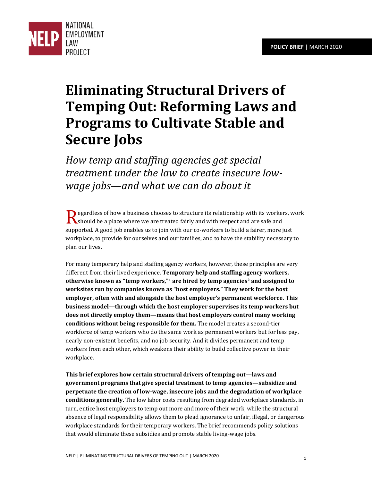

# **Eliminating Structural Drivers of Temping Out: Reforming Laws and Programs to Cultivate Stable and Secure Jobs**

*How temp and staffing agencies get special treatment under the law to create insecure lowwage jobs—and what we can do about it*

 $\bigcap$  egardless of how a business chooses to structure its relationship with its workers, work Regardless of how a business chooses to structure its relationship with its worker should be a place where we are treated fairly and with respect and are safe and supported. A good job enables us to join with our co-workers to build a fairer, more just workplace, to provide for ourselves and our families, and to have the stability necessary to plan our lives.

For many temporary help and staffing agency workers, however, these principles are very different from their lived experience. **Temporary help and staffing agency workers, otherwise known as "temp workers," <sup>1</sup> are hired by temp agencies2 and assigned to worksites run by companies known as "host employers." They work for the host employer, often with and alongside the host employer's permanent workforce. This business model—through which the host employer supervises its temp workers but does not directly employ them—means that host employers control many working conditions without being responsible for them.** The model creates a second-tier workforce of temp workers who do the same work as permanent workers but for less pay, nearly non-existent benefits, and no job security. And it divides permanent and temp workers from each other, which weakens their ability to build collective power in their workplace.

**This brief explores how certain structural drivers of temping out—laws and government programs that give special treatment to temp agencies—subsidize and perpetuate the creation of low-wage, insecure jobs and the degradation of workplace conditions generally.** The low labor costs resulting from degraded workplace standards, in turn, entice host employers to temp out more and more of their work, while the structural absence of legal responsibility allows them to plead ignorance to unfair, illegal, or dangerous workplace standards for their temporary workers. The brief recommends policy solutions that would eliminate these subsidies and promote stable living-wage jobs.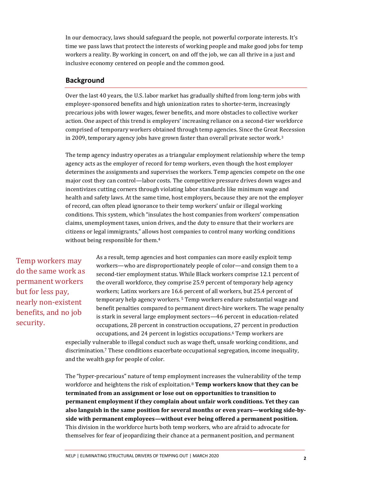In our democracy, laws should safeguard the people, not powerful corporate interests. It's time we pass laws that protect the interests of working people and make good jobs for temp workers a reality. By working in concert, on and off the job, we can all thrive in a just and inclusive economy centered on people and the common good.

#### **Background**

Over the last 40 years, the U.S. labor market has gradually shifted from long-term jobs with employer-sponsored benefits and high unionization rates to shorter-term, increasingly precarious jobs with lower wages, fewer benefits, and more obstacles to collective worker action. One aspect of this trend is employers' increasing reliance on a second-tier workforce comprised of temporary workers obtained through temp agencies. Since the Great Recession in 2009, temporary agency jobs have grown faster than overall private sector work.<sup>3</sup>

The temp agency industry operates as a triangular employment relationship where the temp agency acts as the employer of record for temp workers, even though the host employer determines the assignments and supervises the workers. Temp agencies compete on the one major cost they can control—labor costs. The competitive pressure drives down wages and incentivizes cutting corners through violating labor standards like minimum wage and health and safety laws. At the same time, host employers, because they are not the employer of record, can often plead ignorance to their temp workers' unfair or illegal working conditions. This system, which "insulates the host companies from workers' compensation claims, unemployment taxes, union drives, and the duty to ensure that their workers are citizens or legal immigrants," allows host companies to control many working conditions without being responsible for them.<sup>4</sup>

Temp workers may do the same work as permanent workers but for less pay, nearly non-existent benefits, and no job security.

As a result, temp agencies and host companies can more easily exploit temp workers—who are disproportionately people of color—and consign them to a second-tier employment status. While Black workers comprise 12.1 percent of the overall workforce, they comprise 25.9 percent of temporary help agency workers; Latinx workers are 16.6 percent of all workers, but 25.4 percent of temporary help agency workers. 5 Temp workers endure substantial wage and benefit penalties compared to permanent direct-hire workers. The wage penalty is stark in several large employment sectors—46 percent in education-related occupations, 28 percent in construction occupations, 27 percent in production occupations, and 24 percent in logistics occupations.6 Temp workers are

especially vulnerable to illegal conduct such as wage theft, unsafe working conditions, and discrimination.7 These conditions exacerbate occupational segregation, income inequality, and the wealth gap for people of color.

The "hyper-precarious" nature of temp employment increases the vulnerability of the temp workforce and heightens the risk of exploitation.<sup>8</sup> **Temp workers know that they can be terminated from an assignment or lose out on opportunities to transition to permanent employment if they complain about unfair work conditions. Yet they can also languish in the same position for several months or even years—working side-byside with permanent employees—without ever being offered a permanent position.** This division in the workforce hurts both temp workers, who are afraid to advocate for themselves for fear of jeopardizing their chance at a permanent position, and permanent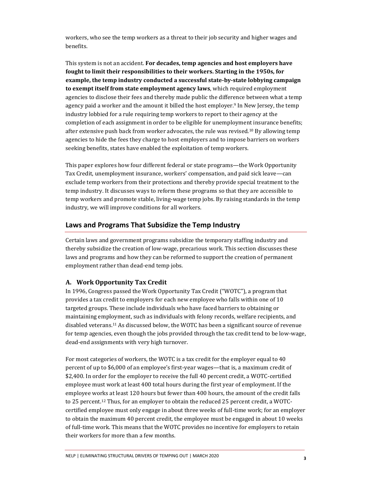workers, who see the temp workers as a threat to their job security and higher wages and benefits.

This system is not an accident. **For decades, temp agencies and host employers have fought to limit their responsibilities to their workers. Starting in the 1950s, for example, the temp industry conducted a successful state-by-state lobbying campaign to exempt itself from state employment agency laws**, which required employment agencies to disclose their fees and thereby made public the difference between what a temp agency paid a worker and the amount it billed the host employer.<sup>9</sup> In New Jersey, the temp industry lobbied for a rule requiring temp workers to report to their agency at the completion of each assignment in order to be eligible for unemployment insurance benefits; after extensive push back from worker advocates, the rule was revised.<sup>10</sup> By allowing temp agencies to hide the fees they charge to host employers and to impose barriers on workers seeking benefits, states have enabled the exploitation of temp workers.

This paper explores how four different federal or state programs—the Work Opportunity Tax Credit, unemployment insurance, workers' compensation, and paid sick leave—can exclude temp workers from their protections and thereby provide special treatment to the temp industry. It discusses ways to reform these programs so that they are accessible to temp workers and promote stable, living-wage temp jobs. By raising standards in the temp industry, we will improve conditions for all workers.

# **Laws and Programs That Subsidize the Temp Industry**

Certain laws and government programs subsidize the temporary staffing industry and thereby subsidize the creation of low-wage, precarious work. This section discusses these laws and programs and how they can be reformed to support the creation of permanent employment rather than dead-end temp jobs.

#### **A. Work Opportunity Tax Credit**

In 1996, Congress passed the Work Opportunity Tax Credit ("WOTC"), a program that provides a tax credit to employers for each new employee who falls within one of 10 targeted groups. These include individuals who have faced barriers to obtaining or maintaining employment, such as individuals with felony records, welfare recipients, and disabled veterans.11 As discussed below, the WOTC has been a significant source of revenue for temp agencies, even though the jobs provided through the tax credit tend to be low-wage, dead-end assignments with very high turnover.

For most categories of workers, the WOTC is a tax credit for the employer equal to 40 percent of up to \$6,000 of an employee's first-year wages—that is, a maximum credit of \$2,400. In order for the employer to receive the full 40 percent credit, a WOTC-certified employee must work at least 400 total hours during the first year of employment. If the employee works at least 120 hours but fewer than 400 hours, the amount of the credit falls to 25 percent.12 Thus, for an employer to obtain the reduced 25 percent credit, a WOTCcertified employee must only engage in about three weeks of full-time work; for an employer to obtain the maximum 40 percent credit, the employee must be engaged in about 10 weeks of full-time work. This means that the WOTC provides no incentive for employers to retain their workers for more than a few months.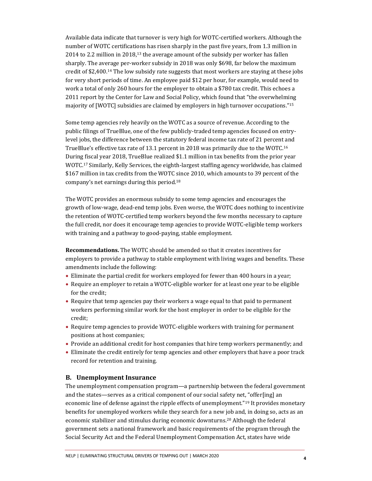Available data indicate that turnover is very high for WOTC-certified workers. Although the number of WOTC certifications has risen sharply in the past five years, from 1.3 million in 2014 to 2.2 million in 2018,<sup>13</sup> the average amount of the subsidy per worker has fallen sharply. The average per-worker subsidy in 2018 was only \$698, far below the maximum credit of \$2,400.14 The low subsidy rate suggests that most workers are staying at these jobs for very short periods of time. An employee paid \$12 per hour, for example, would need to work a total of only 260 hours for the employer to obtain a \$780 tax credit. This echoes a 2011 report by the Center for Law and Social Policy, which found that "the overwhelming majority of [WOTC] subsidies are claimed by employers in high turnover occupations."<sup>15</sup>

Some temp agencies rely heavily on the WOTC as a source of revenue. According to the public filings of TrueBlue, one of the few publicly-traded temp agencies focused on entrylevel jobs, the difference between the statutory federal income tax rate of 21 percent and TrueBlue's effective tax rate of 13.1 percent in 2018 was primarily due to the WOTC.<sup>16</sup> During fiscal year 2018, TrueBlue realized \$1.1 million in tax benefits from the prior year WOTC.17 Similarly, Kelly Services, the eighth-largest staffing agency worldwide, has claimed \$167 million in tax credits from the WOTC since 2010, which amounts to 39 percent of the company's net earnings during this period.<sup>18</sup>

The WOTC provides an enormous subsidy to some temp agencies and encourages the growth of low-wage, dead-end temp jobs. Even worse, the WOTC does nothing to incentivize the retention of WOTC-certified temp workers beyond the few months necessary to capture the full credit, nor does it encourage temp agencies to provide WOTC-eligible temp workers with training and a pathway to good-paying, stable employment.

**Recommendations.** The WOTC should be amended so that it creates incentives for employers to provide a pathway to stable employment with living wages and benefits. These amendments include the following:

- Eliminate the partial credit for workers employed for fewer than 400 hours in a year;
- Require an employer to retain a WOTC-eligible worker for at least one year to be eligible for the credit;
- Require that temp agencies pay their workers a wage equal to that paid to permanent workers performing similar work for the host employer in order to be eligible for the credit;
- Require temp agencies to provide WOTC-eligible workers with training for permanent positions at host companies;
- Provide an additional credit for host companies that hire temp workers permanently; and
- Eliminate the credit entirely for temp agencies and other employers that have a poor track record for retention and training.

#### **B. Unemployment Insurance**

The unemployment compensation program—a partnership between the federal government and the states—serves as a critical component of our social safety net, "offer[ing] an economic line of defense against the ripple effects of unemployment."<sup>19</sup> It provides monetary benefits for unemployed workers while they search for a new job and, in doing so, acts as an economic stabilizer and stimulus during economic downturns.20 Although the federal government sets a national framework and basic requirements of the program through the Social Security Act and the Federal Unemployment Compensation Act, states have wide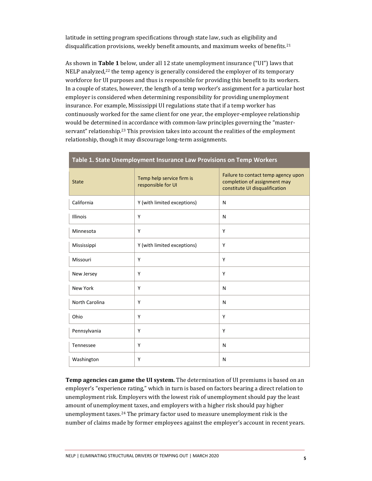latitude in setting program specifications through state law, such as eligibility and disqualification provisions, weekly benefit amounts, and maximum weeks of benefits.<sup>21</sup>

As shown in **Table 1** below, under all 12 state unemployment insurance ("UI") laws that  $NELP$  analyzed,<sup>22</sup> the temp agency is generally considered the employer of its temporary workforce for UI purposes and thus is responsible for providing this benefit to its workers. In a couple of states, however, the length of a temp worker's assignment for a particular host employer is considered when determining responsibility for providing unemployment insurance. For example, Mississippi UI regulations state that if a temp worker has continuously worked for the same client for one year, the employer-employee relationship would be determined in accordance with common-law principles governing the "masterservant" relationship.<sup>23</sup> This provision takes into account the realities of the employment relationship, though it may discourage long-term assignments.

| <b>State</b>          | Temp help service firm is<br>responsible for UI | Failure to contact temp agency upon<br>completion of assignment may<br>constitute UI disqualification |
|-----------------------|-------------------------------------------------|-------------------------------------------------------------------------------------------------------|
| California            | Y (with limited exceptions)                     | N                                                                                                     |
| <b>Illinois</b>       | Y                                               | N                                                                                                     |
| Minnesota             | Y                                               | Y                                                                                                     |
| Mississippi           | Y (with limited exceptions)                     | Y                                                                                                     |
| Missouri              | Y                                               | Y                                                                                                     |
| New Jersey            | Y                                               | Y                                                                                                     |
| <b>New York</b>       | Y                                               | N                                                                                                     |
| <b>North Carolina</b> | Y                                               | N                                                                                                     |
| Ohio                  | Y                                               | Y                                                                                                     |
| Pennsylvania          | Y                                               | Y                                                                                                     |
| Tennessee             | Y                                               | N                                                                                                     |
| Washington            | Y                                               | N                                                                                                     |

# **Table 1. State Unemployment Insurance Law Provisions on Temp Workers**

**Temp agencies can game the UI system.** The determination of UI premiums is based on an employer's "experience rating," which in turn is based on factors bearing a direct relation to unemployment risk. Employers with the lowest risk of unemployment should pay the least amount of unemployment taxes, and employers with a higher risk should pay higher unemployment taxes.24 The primary factor used to measure unemployment risk is the number of claims made by former employees against the employer's account in recent years.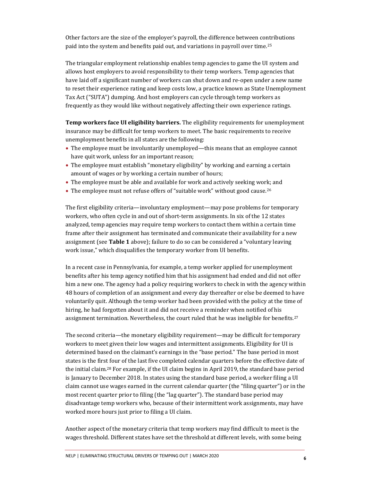Other factors are the size of the employer's payroll, the difference between contributions paid into the system and benefits paid out, and variations in payroll over time.<sup>25</sup>

The triangular employment relationship enables temp agencies to game the UI system and allows host employers to avoid responsibility to their temp workers. Temp agencies that have laid off a significant number of workers can shut down and re-open under a new name to reset their experience rating and keep costs low, a practice known as State Unemployment Tax Act ("SUTA") dumping. And host employers can cycle through temp workers as frequently as they would like without negatively affecting their own experience ratings.

**Temp workers face UI eligibility barriers.** The eligibility requirements for unemployment insurance may be difficult for temp workers to meet. The basic requirements to receive unemployment benefits in all states are the following:

- The employee must be involuntarily unemployed—this means that an employee cannot have quit work, unless for an important reason;
- The employee must establish "monetary eligibility" by working and earning a certain amount of wages or by working a certain number of hours;
- The employee must be able and available for work and actively seeking work; and
- The employee must not refuse offers of "suitable work" without good cause.<sup>26</sup>

The first eligibility criteria—involuntary employment—may pose problems for temporary workers, who often cycle in and out of short-term assignments. In six of the 12 states analyzed, temp agencies may require temp workers to contact them within a certain time frame after their assignment has terminated and communicate their availability for a new assignment (see **Table 1** above); failure to do so can be considered a "voluntary leaving work issue," which disqualifies the temporary worker from UI benefits.

In a recent case in Pennsylvania, for example, a temp worker applied for unemployment benefits after his temp agency notified him that his assignment had ended and did not offer him a new one. The agency had a policy requiring workers to check in with the agency within 48 hours of completion of an assignment and every day thereafter or else be deemed to have voluntarily quit. Although the temp worker had been provided with the policy at the time of hiring, he had forgotten about it and did not receive a reminder when notified of his assignment termination. Nevertheless, the court ruled that he was ineligible for benefits.<sup>27</sup>

The second criteria—the monetary eligibility requirement—may be difficult for temporary workers to meet given their low wages and intermittent assignments. Eligibility for UI is determined based on the claimant's earnings in the "base period." The base period in most states is the first four of the last five completed calendar quarters before the effective date of the initial claim.28 For example, if the UI claim begins in April 2019, the standard base period is January to December 2018. In states using the standard base period, a worker filing a UI claim cannot use wages earned in the current calendar quarter (the "filing quarter") or in the most recent quarter prior to filing (the "lag quarter"). The standard base period may disadvantage temp workers who, because of their intermittent work assignments, may have worked more hours just prior to filing a UI claim.

Another aspect of the monetary criteria that temp workers may find difficult to meet is the wages threshold. Different states have set the threshold at different levels, with some being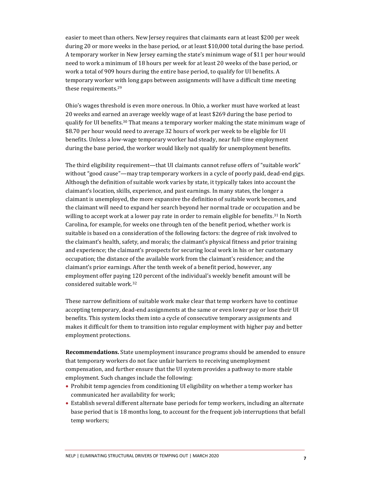easier to meet than others. New Jersey requires that claimants earn at least \$200 per week during 20 or more weeks in the base period, or at least \$10,000 total during the base period. A temporary worker in New Jersey earning the state's minimum wage of \$11 per hour would need to work a minimum of 18 hours per week for at least 20 weeks of the base period, or work a total of 909 hours during the entire base period, to qualify for UI benefits. A temporary worker with long gaps between assignments will have a difficult time meeting these requirements.<sup>29</sup>

Ohio's wages threshold is even more onerous. In Ohio, a worker must have worked at least 20 weeks and earned an average weekly wage of at least \$269 during the base period to qualify for UI benefits.30 That means a temporary worker making the state minimum wage of \$8.70 per hour would need to average 32 hours of work per week to be eligible for UI benefits. Unless a low-wage temporary worker had steady, near full-time employment during the base period, the worker would likely not qualify for unemployment benefits.

The third eligibility requirement—that UI claimants cannot refuse offers of "suitable work" without "good cause"—may trap temporary workers in a cycle of poorly paid, dead-end gigs. Although the definition of suitable work varies by state, it typically takes into account the claimant's location, skills, experience, and past earnings. In many states, the longer a claimant is unemployed, the more expansive the definition of suitable work becomes, and the claimant will need to expand her search beyond her normal trade or occupation and be willing to accept work at a lower pay rate in order to remain eligible for benefits.<sup>31</sup> In North Carolina, for example, for weeks one through ten of the benefit period, whether work is suitable is based on a consideration of the following factors: the degree of risk involved to the claimant's health, safety, and morals; the claimant's physical fitness and prior training and experience; the claimant's prospects for securing local work in his or her customary occupation; the distance of the available work from the claimant's residence; and the claimant's prior earnings. After the tenth week of a benefit period, however, any employment offer paying 120 percent of the individual's weekly benefit amount will be considered suitable work.<sup>32</sup>

These narrow definitions of suitable work make clear that temp workers have to continue accepting temporary, dead-end assignments at the same or even lower pay or lose their UI benefits. This system locks them into a cycle of consecutive temporary assignments and makes it difficult for them to transition into regular employment with higher pay and better employment protections.

**Recommendations.** State unemployment insurance programs should be amended to ensure that temporary workers do not face unfair barriers to receiving unemployment compensation, and further ensure that the UI system provides a pathway to more stable employment. Such changes include the following:

- Prohibit temp agencies from conditioning UI eligibility on whether a temp worker has communicated her availability for work;
- Establish several different alternate base periods for temp workers, including an alternate base period that is 18 months long, to account for the frequent job interruptions that befall temp workers;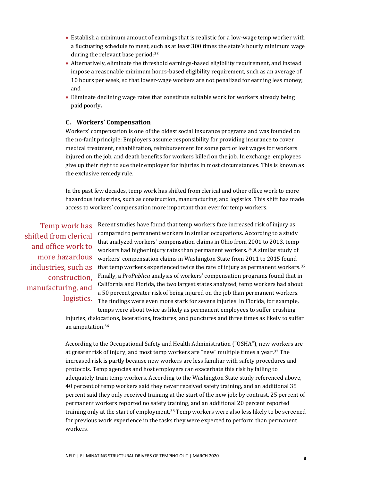- Establish a minimum amount of earnings that is realistic for a low-wage temp worker with a fluctuating schedule to meet, such as at least 300 times the state's hourly minimum wage during the relevant base period; $33$
- Alternatively, eliminate the threshold earnings-based eligibility requirement, and instead impose a reasonable minimum hours-based eligibility requirement, such as an average of 10 hours per week, so that lower-wage workers are not penalized for earning less money; and
- Eliminate declining wage rates that constitute suitable work for workers already being paid poorly**.**

#### **C. Workers' Compensation**

Workers' compensation is one of the oldest social insurance programs and was founded on the no-fault principle: Employers assume responsibility for providing insurance to cover medical treatment, rehabilitation, reimbursement for some part of lost wages for workers injured on the job, and death benefits for workers killed on the job. In exchange, employees give up their right to sue their employer for injuries in most circumstances. This is known as the exclusive remedy rule.

In the past few decades, temp work has shifted from clerical and other office work to more hazardous industries, such as construction, manufacturing, and logistics. This shift has made access to workers' compensation more important than ever for temp workers.

Temp work has shifted from clerical and office work to more hazardous industries, such as construction, manufacturing, and logistics.

Recent studies have found that temp workers face increased risk of injury as compared to permanent workers in similar occupations. According to a study that analyzed workers' compensation claims in Ohio from 2001 to 2013, temp workers had higher injury rates than permanent workers.<sup>34</sup> A similar study of workers' compensation claims in Washington State from 2011 to 2015 found that temp workers experienced twice the rate of injury as permanent workers.<sup>35</sup> Finally, a *ProPublica* analysis of workers' compensation programs found that in California and Florida, the two largest states analyzed, temp workers had about a 50 percent greater risk of being injured on the job than permanent workers. The findings were even more stark for severe injuries. In Florida, for example, temps were about twice as likely as permanent employees to suffer crushing

injuries, dislocations, lacerations, fractures, and punctures and three times as likely to suffer an amputation.<sup>36</sup>

According to the Occupational Safety and Health Administration ("OSHA"), new workers are at greater risk of injury, and most temp workers are "new" multiple times a year. <sup>37</sup> The increased risk is partly because new workers are less familiar with safety procedures and protocols. Temp agencies and host employers can exacerbate this risk by failing to adequately train temp workers. According to the Washington State study referenced above, 40 percent of temp workers said they never received safety training, and an additional 35 percent said they only received training at the start of the new job; by contrast, 25 percent of permanent workers reported no safety training, and an additional 20 percent reported training only at the start of employment.<sup>38</sup> Temp workers were also less likely to be screened for previous work experience in the tasks they were expected to perform than permanent workers.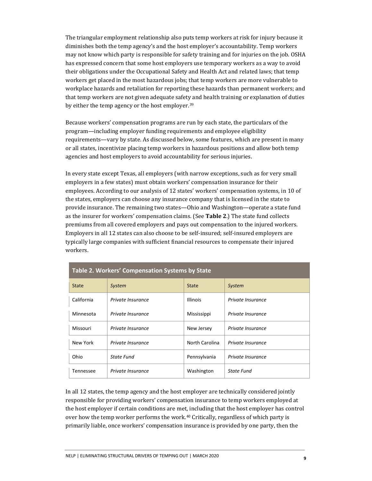The triangular employment relationship also puts temp workers at risk for injury because it diminishes both the temp agency's and the host employer's accountability. Temp workers may not know which party is responsible for safety training and for injuries on the job. OSHA has expressed concern that some host employers use temporary workers as a way to avoid their obligations under the Occupational Safety and Health Act and related laws; that temp workers get placed in the most hazardous jobs; that temp workers are more vulnerable to workplace hazards and retaliation for reporting these hazards than permanent workers; and that temp workers are not given adequate safety and health training or explanation of duties by either the temp agency or the host employer.<sup>39</sup>

Because workers' compensation programs are run by each state, the particulars of the program—including employer funding requirements and employee eligibility requirements—vary by state. As discussed below, some features, which are present in many or all states, incentivize placing temp workers in hazardous positions and allow both temp agencies and host employers to avoid accountability for serious injuries.

In every state except Texas, all employers (with narrow exceptions, such as for very small employers in a few states) must obtain workers' compensation insurance for their employees. According to our analysis of 12 states' workers' compensation systems, in 10 of the states, employers can choose any insurance company that is licensed in the state to provide insurance. The remaining two states—Ohio and Washington—operate a state fund as the insurer for workers' compensation claims. (See **Table 2**.) The state fund collects premiums from all covered employers and pays out compensation to the injured workers. Employers in all 12 states can also choose to be self-insured; self-insured employers are typically large companies with sufficient financial resources to compensate their injured workers.

| Table 2. Workers' Compensation Systems by State |                   |                 |                   |  |
|-------------------------------------------------|-------------------|-----------------|-------------------|--|
| <b>State</b>                                    | System            | State           | System            |  |
| California                                      | Private Insurance | <b>Illinois</b> | Private Insurance |  |
| Minnesota                                       | Private Insurance | Mississippi     | Private Insurance |  |
| Missouri                                        | Private Insurance | New Jersey      | Private Insurance |  |
| New York                                        | Private Insurance | North Carolina  | Private Insurance |  |
| Ohio                                            | State Fund        | Pennsylvania    | Private Insurance |  |
| Tennessee                                       | Private Insurance | Washington      | <b>State Fund</b> |  |

In all 12 states, the temp agency and the host employer are technically considered jointly responsible for providing workers' compensation insurance to temp workers employed at the host employer if certain conditions are met, including that the host employer has control over how the temp worker performs the work.<sup>40</sup> Critically, regardless of which party is primarily liable, once workers' compensation insurance is provided by one party, then the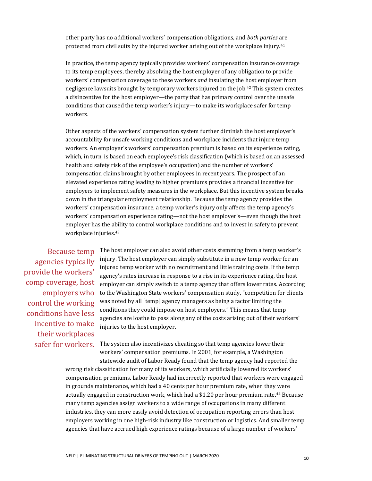other party has no additional workers' compensation obligations, and *both parties* are protected from civil suits by the injured worker arising out of the workplace injury.<sup>41</sup>

In practice, the temp agency typically provides workers' compensation insurance coverage to its temp employees, thereby absolving the host employer of any obligation to provide workers' compensation coverage to these workers *and* insulating the host employer from negligence lawsuits brought by temporary workers injured on the job.42 This system creates a disincentive for the host employer—the party that has primary control over the unsafe conditions that caused the temp worker's injury—to make its workplace safer for temp workers.

Other aspects of the workers' compensation system further diminish the host employer's accountability for unsafe working conditions and workplace incidents that injure temp workers. An employer's workers' compensation premium is based on its experience rating, which, in turn, is based on each employee's risk classification (which is based on an assessed health and safety risk of the employee's occupation) and the number of workers' compensation claims brought by other employees in recent years. The prospect of an elevated experience rating leading to higher premiums provides a financial incentive for employers to implement safety measures in the workplace. But this incentive system breaks down in the triangular employment relationship. Because the temp agency provides the workers' compensation insurance, a temp worker's injury only affects the temp agency's workers' compensation experience rating—not the host employer's—even though the host employer has the ability to control workplace conditions and to invest in safety to prevent workplace injuries.<sup>43</sup>

Because temp agencies typically provide the workers' comp coverage, host employers who control the working conditions have less incentive to make their workplaces safer for workers. The host employer can also avoid other costs stemming from a temp worker's injury. The host employer can simply substitute in a new temp worker for an injured temp worker with no recruitment and little training costs. If the temp agency's rates increase in response to a rise in its experience rating, the host employer can simply switch to a temp agency that offers lower rates. According to the Washington State workers' compensation study, "competition for clients was noted by all [temp] agency managers as being a factor limiting the conditions they could impose on host employers." This means that temp agencies are loathe to pass along any of the costs arising out of their workers' injuries to the host employer.

### The system also incentivizes cheating so that temp agencies lower their workers' compensation premiums. In 2001, for example, a Washington statewide audit of Labor Ready found that the temp agency had reported the

wrong risk classification for many of its workers, which artificially lowered its workers' compensation premiums. Labor Ready had incorrectly reported that workers were engaged in grounds maintenance, which had a 40 cents per hour premium rate, when they were actually engaged in construction work, which had a \$1.20 per hour premium rate.44 Because many temp agencies assign workers to a wide range of occupations in many different industries, they can more easily avoid detection of occupation reporting errors than host employers working in one high-risk industry like construction or logistics. And smaller temp agencies that have accrued high experience ratings because of a large number of workers'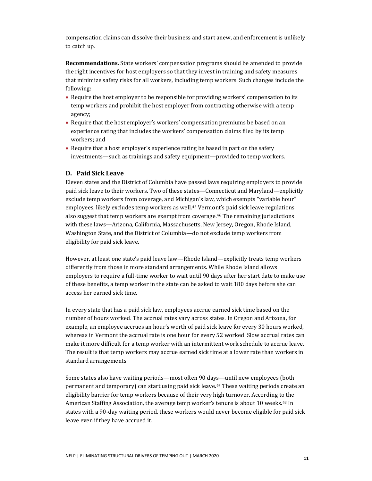compensation claims can dissolve their business and start anew, and enforcement is unlikely to catch up.

**Recommendations.** State workers' compensation programs should be amended to provide the right incentives for host employers so that they invest in training and safety measures that minimize safety risks for all workers, including temp workers. Such changes include the following:

- Require the host employer to be responsible for providing workers' compensation to its temp workers and prohibit the host employer from contracting otherwise with a temp agency;
- Require that the host employer's workers' compensation premiums be based on an experience rating that includes the workers' compensation claims filed by its temp workers; and
- Require that a host employer's experience rating be based in part on the safety investments—such as trainings and safety equipment—provided to temp workers.

#### **D. Paid Sick Leave**

Eleven states and the District of Columbia have passed laws requiring employers to provide paid sick leave to their workers. Two of these states—Connecticut and Maryland—explicitly exclude temp workers from coverage, and Michigan's law, which exempts "variable hour" employees, likely excludes temp workers as well.<sup>45</sup> Vermont's paid sick leave regulations also suggest that temp workers are exempt from coverage.46 The remaining jurisdictions with these laws—Arizona, California, Massachusetts, New Jersey, Oregon, Rhode Island, Washington State, and the District of Columbia—do not exclude temp workers from eligibility for paid sick leave.

However, at least one state's paid leave law—Rhode Island—explicitly treats temp workers differently from those in more standard arrangements. While Rhode Island allows employers to require a full-time worker to wait until 90 days after her start date to make use of these benefits, a temp worker in the state can be asked to wait 180 days before she can access her earned sick time.

In every state that has a paid sick law, employees accrue earned sick time based on the number of hours worked. The accrual rates vary across states. In Oregon and Arizona, for example, an employee accrues an hour's worth of paid sick leave for every 30 hours worked, whereas in Vermont the accrual rate is one hour for every 52 worked. Slow accrual rates can make it more difficult for a temp worker with an intermittent work schedule to accrue leave. The result is that temp workers may accrue earned sick time at a lower rate than workers in standard arrangements.

Some states also have waiting periods—most often 90 days—until new employees (both permanent and temporary) can start using paid sick leave.47 These waiting periods create an eligibility barrier for temp workers because of their very high turnover. According to the American Staffing Association, the average temp worker's tenure is about 10 weeks. <sup>48</sup> In states with a 90-day waiting period, these workers would never become eligible for paid sick leave even if they have accrued it.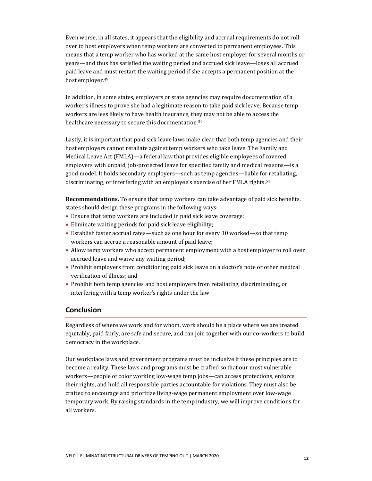Even worse, in all states, it appears that the eligibility and accrual requirements do not roll over to host employers when temp workers are converted to permanent employees. This means that a temp worker who has worked at the same host employer for several months or years—and thus has satisfied the waiting period and accrued sick leave—loses all accrued paid leave and must restart the waiting period if she accepts a permanent position at the host employer.<sup>49</sup>

In addition, in some states, employers or state agencies may require documentation of a worker's illness to prove she had a legitimate reason to take paid sick leave. Because temp workers are less likely to have health insurance, they may not be able to access the healthcare necessary to secure this documentation.<sup>50</sup>

Lastly, it is important that paid sick leave laws make clear that both temp agencies and their host employers cannot retaliate against temp workers who take leave. The Family and Medical Leave Act (FMLA)—a federal law that provides eligible employees of covered employers with unpaid, job-protected leave for specified family and medical reasons—is a good model. It holds secondary employers—such as temp agencies—liable for retaliating, discriminating, or interfering with an employee's exercise of her FMLA rights.<sup>51</sup>

**Recommendations.** To ensure that temp workers can take advantage of paid sick benefits, states should design these programs in the following ways:

- Ensure that temp workers are included in paid sick leave coverage;
- Eliminate waiting periods for paid sick leave eligibility;
- Establish faster accrual rates—such as one hour for every 30 worked—so that temp workers can accrue a reasonable amount of paid leave;
- Allow temp workers who accept permanent employment with a host employer to roll over accrued leave and waive any waiting period;
- Prohibit employers from conditioning paid sick leave on a doctor's note or other medical verification of illness; and
- Prohibit both temp agencies and host employers from retaliating, discriminating, or interfering with a temp worker's rights under the law.

### **Conclusion**

Regardless of where we work and for whom, work should be a place where we are treated equitably, paid fairly, are safe and secure, and can join together with our co-workers to build democracy in the workplace.

Our workplace laws and government programs must be inclusive if these principles are to become a reality. These laws and programs must be crafted so that our most vulnerable workers—people of color working low-wage temp jobs—can access protections, enforce their rights, and hold all responsible parties accountable for violations. They must also be crafted to encourage and prioritize living-wage permanent employment over low-wage temporary work. By raising standards in the temp industry, we will improve conditions for all workers.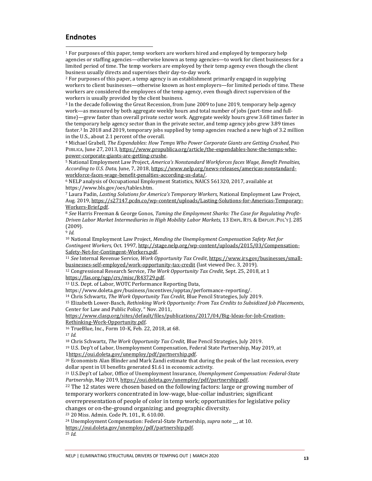#### **Endnotes**

<sup>1</sup> For purposes of this paper, temp workers are workers hired and employed by temporary help agencies or staffing agencies—otherwise known as temp agencies—to work for client businesses for a limited period of time. The temp workers are employed by their temp agency even though the client business usually directs and supervises their day-to-day work.

<sup>2</sup> For purposes of this paper, a temp agency is an establishment primarily engaged in supplying workers to client businesses—otherwise known as host employers—for limited periods of time. These workers are considered the employees of the temp agency, even though direct supervision of the workers is usually provided by the client business.

<sup>3</sup> In the decade following the Great Recession, from June 2009 to June 2019, temporary help agency work—as measured by both aggregate weekly hours and total number of jobs (part-time and fulltime)—grew faster than overall private sector work. Aggregate weekly hours grew 3.68 times faster in the temporary help agency sector than in the private sector, and temp agency jobs grew 3.89 times faster.3 In 2018 and 2019, temporary jobs supplied by temp agencies reached a new high of 3.2 million in the U.S., about 2.1 percent of the overall.

<sup>4</sup> Michael Grabell, *The Expendables: How Temps Who Power Corporate Giants are Getting Crushed*, PRO PUBLICA, June 27, 2013, [https://www.propublica.org/article/the-expendables-how-the-temps-who](https://www.propublica.org/article/the-expendables-how-the-temps-who-power-corporate-giants-are-getting-crushe)[power-corporate-giants-are-getting-crushe.](https://www.propublica.org/article/the-expendables-how-the-temps-who-power-corporate-giants-are-getting-crushe)

<sup>5</sup> National Employment Law Project, *America's Nonstandard Workforces faces Wage, Benefit Penalties, According to U.S. Data,* June, 7, 2018[, https://www.nelp.org/news-releases/americas-nonstandard](https://www.nelp.org/news-releases/americas-nonstandard-workforce-faces-wage-benefit-penalties-according-us-data/)[workforce-faces-wage-benefit-penalties-according-us-data/.](https://www.nelp.org/news-releases/americas-nonstandard-workforce-faces-wage-benefit-penalties-according-us-data/)

<sup>6</sup> NELP analysis of Occupational Employment Statistics, NAICS 561320, 2017, available at https://www.bls.gov/oes/tables.htm.

<sup>7</sup> Laura Padin, *Lasting Solutions for America's Temporary Workers,* National Employment Law Project, Aug. 2019[, https://s27147.pcdn.co/wp-content/uploads/Lasting-Solutions-for-Americas-Temporary-](https://s27147.pcdn.co/wp-content/uploads/Lasting-Solutions-for-Americas-Temporary-Workers-Brief.pdf)[Workers-Brief.pdf.](https://s27147.pcdn.co/wp-content/uploads/Lasting-Solutions-for-Americas-Temporary-Workers-Brief.pdf) 

<sup>8</sup> *See* Harris Freeman & George Gonos, *Taming the Employment Sharks: The Case for Regulating Profit-Driven Labor Market Intermediaries in High Mobility Labor Markets,* 13 EMPL. RTS.& EMPLOY. POL'Y J. 285 (2009).

<sup>9</sup> *Id.* 

<sup>10</sup> National Employment Law Project, *Mending the Unemployment Compensation Safety Net for Contingent Workers,* Oct. 1997[, http://stage.nelp.org/wp-content/uploads/2015/03/Compensation-](http://stage.nelp.org/wp-content/uploads/2015/03/Compensation-Safety-Net-for-Contingent-Workers.pdf)[Safety-Net-for-Contingent-Workers.pdf.](http://stage.nelp.org/wp-content/uploads/2015/03/Compensation-Safety-Net-for-Contingent-Workers.pdf) 

<sup>11</sup> *See* Internal Revenue Service, *Work Opportunity Tax Credit*[, https://www.irs.gov/businesses/small](https://www.irs.gov/businesses/small-businesses-self-employed/work-opportunity-tax-credit)[businesses-self-employed/work-opportunity-tax-credit \(](https://www.irs.gov/businesses/small-businesses-self-employed/work-opportunity-tax-credit)last viewed Dec. 3, 2019).

<sup>12</sup> Congressional Research Service, *The Work Opportunity Tax Credit*, Sept. 25, 2018, at 1

[https://fas.org/sgp/crs/misc/R43729.pdf.](https://fas.org/sgp/crs/misc/R43729.pdf) 

<sup>13</sup> U.S. Dept. of Labor, WOTC Performance Reporting Data,

https://www.doleta.gov/business/incentives/opptax/performance-reporting/.

<sup>14</sup> Chris Schwartz, *The Work Opportunity Tax Credit,* Blue Pencil Strategies, July 2019.

<sup>15</sup> Elizabeth Lower-Basch, *Rethinking Work Opportunity: From Tax Credits to Subsidized Job Placements*, Center for Law and Public Policy, " Nov. 2011,

[https://www.clasp.org/sites/default/files/publications/2017/04/Big-Ideas-for-Job-Creation-](https://www.clasp.org/sites/default/files/publications/2017/04/Big-Ideas-for-Job-Creation-Rethinking-Work-Opportunity.pdf)[Rethinking-Work-Opportunity.pdf.](https://www.clasp.org/sites/default/files/publications/2017/04/Big-Ideas-for-Job-Creation-Rethinking-Work-Opportunity.pdf) 

<sup>16</sup> TrueBlue, Inc., Form 10-K, Feb. 22, 2018, at 68.

<sup>17</sup> *Id.* 

<sup>18</sup> Chris Schwartz, *The Work Opportunity Tax Credit,* Blue Pencil Strategies, July 2019.

<sup>19</sup> U.S. Dep't of Labor, Unemployment Compensation, Federal State Partnership, May 2019, at [1https://oui.doleta.gov/unemploy/pdf/partnership.pdf.](https://oui.doleta.gov/unemploy/pdf/partnership.pdf) 

<sup>20</sup> Economists Alan Blinder and Mark Zandi estimate that during the peak of the last recession, every dollar spent in UI benefits generated \$1.61 in economic activity.

<sup>21</sup> U.S.Dep't of Labor, Office of Unemployment Insurance, *Unemployment Compensation: Federal-State Partnership*, May 2019[, https://oui.doleta.gov/unemploy/pdf/partnership.pdf.](https://oui.doleta.gov/unemploy/pdf/partnership.pdf) 

 $22$  The 12 states were chosen based on the following factors: large or growing number of temporary workers concentrated in low-wage, blue-collar industries; significant

overrepresentation of people of color in temp work; opportunities for legislative policy changes or on-the-ground organizing; and geographic diversity.

<sup>23</sup> 20 Miss. Admin. Code Pt. 101., R. 610.00.

<sup>24</sup> Unemployment Compensation: Federal-State Partnership, *supra* note \_\_, at 10.

[https://oui.doleta.gov/unemploy/pdf/partnership.pdf.](https://oui.doleta.gov/unemploy/pdf/partnership.pdf) 

<sup>25</sup> *Id.*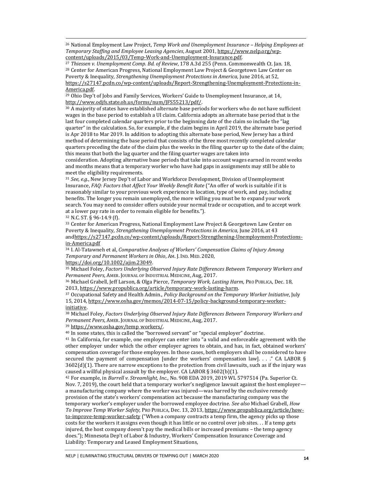<sup>26</sup> National Employment Law Project, *Temp Work and Unemployment Insurance – Helping Employees at Temporary Staffing and Employee Leasing Agencies*, August 2001[, https://www.nelp.org/wp](https://www.nelp.org/wp-content/uploads/2015/03/Temp-Work-and-Unemployment-Insurance.pdf)[content/uploads/2015/03/Temp-Work-and-Unemployment-Insurance.pdf.](https://www.nelp.org/wp-content/uploads/2015/03/Temp-Work-and-Unemployment-Insurance.pdf) 

<sup>27</sup> *Thiessen v. Unemployment Comp. Bd. of Review*, 178 A.3d 255 (Penn. Commonwealth Ct. Jan. 18, <sup>28</sup> Center for American Progress, National Employment Law Project & Georgetown Law Center on Poverty & Inequality, *Strengthening Unemployment Protections in America,* June 2016, at 52, [https://s27147.pcdn.co/wp-content/uploads/Report-Strengthening-Unemployment-Protections-in-](https://s27147.pcdn.co/wp-content/uploads/Report-Strengthening-Unemployment-Protections-in-America.pdf)

#### [America.pdf.](https://s27147.pcdn.co/wp-content/uploads/Report-Strengthening-Unemployment-Protections-in-America.pdf)

<sup>29</sup> Ohio Dep't of Jobs and Family Services, Workers' Guide to Unemployment Insurance, at 14, [http://www.odjfs.state.oh.us/forms/num/JFS55213/pdf/.](http://www.odjfs.state.oh.us/forms/num/JFS55213/pdf/) 

<sup>30</sup> A majority of states have established alternate base periods for workers who do not have sufficient wages in the base period to establish a UI claim. California adopts an alternate base period that is the last four completed calendar quarters prior to the beginning date of the claim so include the "lag quarter" in the calculation. So, for example, if the claim begins in April 2019, the alternate base period is Apr 2018 to Mar 2019. In addition to adopting this alternate base period, New Jersey has a third method of determining the base period that consists of the three most recently completed calendar quarters preceding the date of the claim plus the weeks in the filing quarter up to the date of the claim; this means that both the lag quarter and the filing quarter wages are taken into

consideration. Adopting alternative base periods that take into account wages earned in recent weeks and months means that a temporary worker who have had gaps in assignments may still be able to meet the eligibility requirements.

<sup>31</sup> *See, e.g.*, New Jersey Dep't of Labor and Workforce Development, Division of Unemployment Insurance, *FAQ: Factors that Affect Your Weekly Benefit Rate* ("An offer of work is suitable if it is reasonably similar to your previous work experience in location, type of work, and pay, including benefits. The longer you remain unemployed, the more willing you must be to expand your work search. You may need to consider offers outside your normal trade or occupation, and to accept work at a lower pay rate in order to remain eligible for benefits.").

<sup>32</sup> N.C. ST. § 96-14.9 (f).

<sup>33</sup> Center for American Progress, National Employment Law Project & Georgetown Law Center on Poverty & Inequality, *Strengthening Unemployment Protections in America,* June 2016, at 43 an[dhttps://s27147.pcdn.co/wp-content/uploads/Report-Strengthening-Unemployment-Protections](https://s27147.pcdn.co/wp-content/uploads/Report-Strengthening-Unemployment-Protections-in-America.pdf)[in-America.pdf](https://s27147.pcdn.co/wp-content/uploads/Report-Strengthening-Unemployment-Protections-in-America.pdf) 

<sup>34</sup> I. Al-Tatawneh et al, *Comparative Analyses of Workers' Compensation Claims of Injury Among Temporary and Permanent Workers in Ohio*, AM. J. IND. MED. 2020,

[https://doi.org/10.1002/ajim.23049.](https://doi.org/10.1002/ajim.23049) 

<sup>35</sup> Michael Foley, *Factors Underlying Observed Injury Rate Differences Between Temporary Workers and Permanent Peers*, AMER. JOURNAL OF INDUSTRIAL MEDICINE, Aug, 2017.

<sup>36</sup> Michael Grabell, Jeff Larson, & Olga Pierce, *Temporary Work, Lasting Harm,* PRO PUBLICA, Dec. 18, 2013, [https://www.propublica.org/article/temporary-work-lasting-harm.](https://www.propublica.org/article/temporary-work-lasting-harm) 

<sup>37</sup> Occupational Safety and Health Admin., *Policy Background on the Temporary Worker Initiative*, July 15, 2014[, https://www.osha.gov/memos/2014-07-15/policy-background-temporary-worker](https://www.osha.gov/memos/2014-07-15/policy-background-temporary-worker-initiative)[initiative.](https://www.osha.gov/memos/2014-07-15/policy-background-temporary-worker-initiative) 

<sup>38</sup> Michael Foley, *Factors Underlying Observed Injury Rate Differences Between Temporary Workers and Permanent Peers*, AMER. JOURNAL OF INDUSTRIAL MEDICINE, Aug, 2017.

<sup>39</sup> [https://www.osha.gov/temp\\_workers/.](https://www.osha.gov/temp_workers/) 

<sup>40</sup> In some states, this is called the "borrowed servant" or "special employer" doctrine.

<sup>41</sup> In California, for example, one employer can enter into "a valid and enforceable agreement with the other employer under which the other employer agrees to obtain, and has, in fact, obtained workers' compensation coverage for those employees. In those cases, both employers shall be considered to have secured the payment of compensation [under the workers' compensation law]. . . ." CA LABOR § 3602(d)(1). There are narrow exceptions to the protection from civil lawsuits, such as if the injury was caused a willful physical assault by the employer. CA LABOR  $\S 3602(b)(1)$ .

<sup>42</sup> For example, in *Burrell v. Streamlight, Inc.,* No. 908 EDA 2019, 2019 WL 5797514 (Pa. Superior Ct. Nov. 7, 2019), the court held that a temporary worker's negligence lawsuit against the host employer a manufacturing company where the worker was injured—was barred by the exclusive remedy provision of the state's workers' compensation act because the manufacturing company was the temporary worker's employer under the borrowed employee doctrine. *See also* Michael Grabell, *How To Improve Temp Worker Safety,* PRO PUBLICA, Dec. 13, 2013[, https://www.propublica.org/article/how](https://www.propublica.org/article/how-to-improve-temp-worker-safety)[to-improve-temp-worker-safety](https://www.propublica.org/article/how-to-improve-temp-worker-safety) ("When a company contracts a temp firm, the agency picks up those costs for the workers it assigns even though it has little or no control over job sites. . . If a temp gets injured, the host company doesn't pay the medical bills or increased premiums – the temp agency does."); Minnesota Dep't of Labor & Industry, Workers' Compensation Insurance Coverage and Liability: Temporary and Leased Employment Situations,